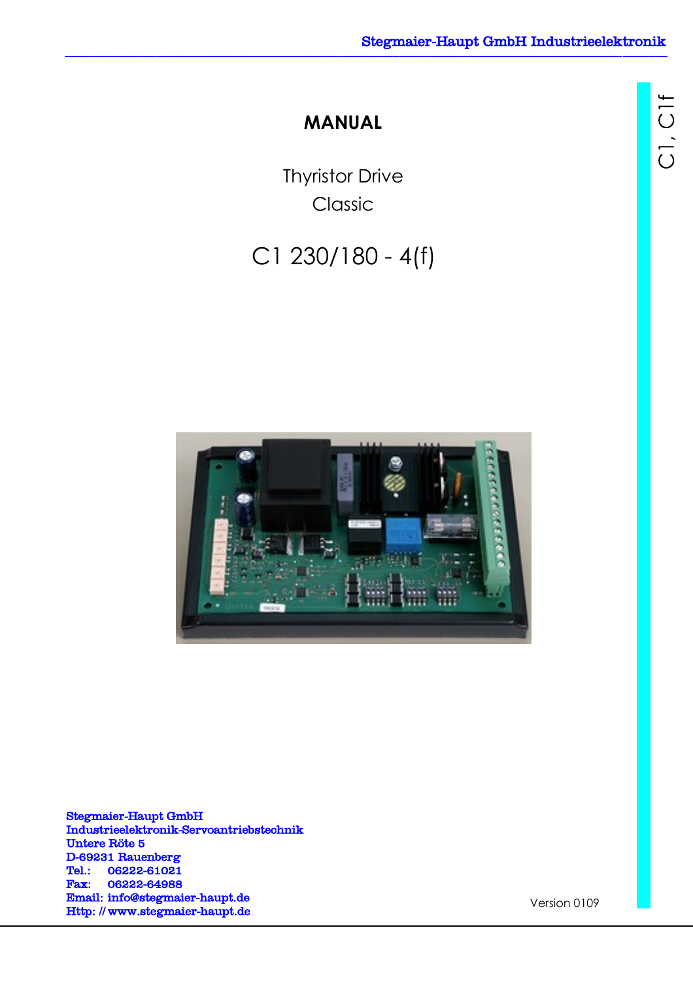C1, C1f

# **MANUAL**

Thyristor Drive Classic

# C1 230/180 - 4(f)



Stegmaier-Haupt GmbH Industrieelektronik-Servoantriebstechnik Untere Röte 5 D-69231 Rauenberg Tel.: 06222-61021 Fax: 06222-64988 Email: [info@stegmaier-haupt.de](mailto:info@stegmaier-haupt.de) Http: // [www.stegmaier-haupt.de](http://www.stegmaier-haupt.de/)

Version 0109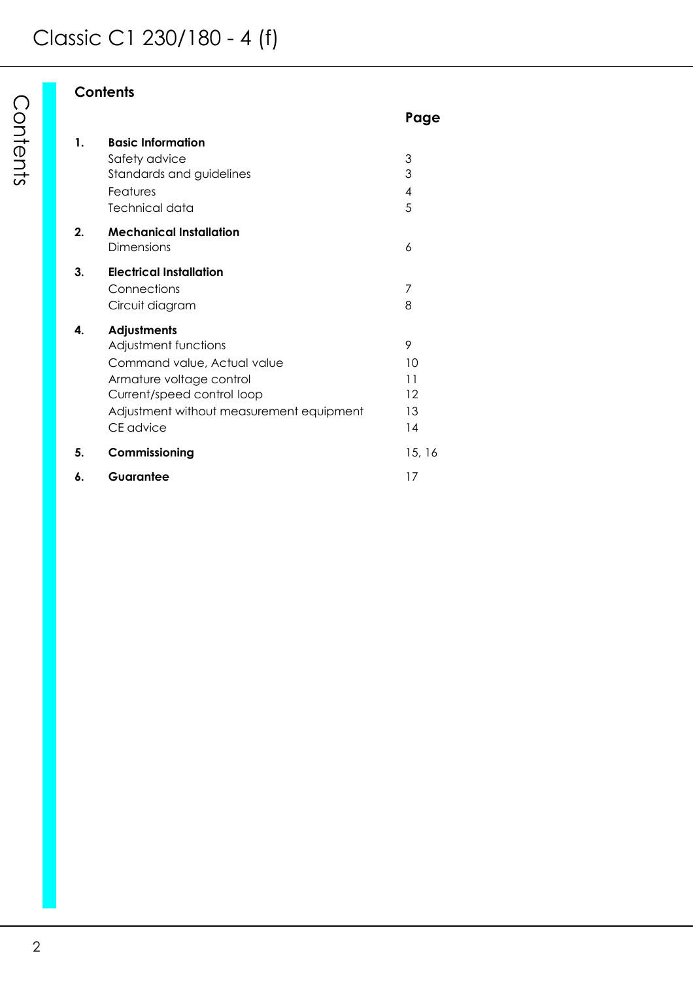# **Contents**

|    |                                              | Page          |
|----|----------------------------------------------|---------------|
| 1. | <b>Basic Information</b>                     |               |
|    | Safety advice<br>Standards and guidelines    | 3<br>3        |
|    | Features                                     | 4             |
|    | Technical data                               | 5             |
| 2. | <b>Mechanical Installation</b><br>Dimensions | 6             |
|    |                                              |               |
| 3. | <b>Electrical Installation</b>               |               |
|    | Connections                                  | 7<br>8        |
|    | Circuit diagram                              |               |
| 4. | Adjustments                                  |               |
|    | Adjustment functions                         | 9             |
|    | Command value, Actual value                  | 10            |
|    | Armature voltage control                     | 11<br>$12 \,$ |
|    | Current/speed control loop                   |               |
|    | Adjustment without measurement equipment     | 13            |
|    | CE advice                                    | 14            |
| 5. | Commissioning                                | 15, 16        |
| 6. | Guarantee                                    | 17            |
|    |                                              |               |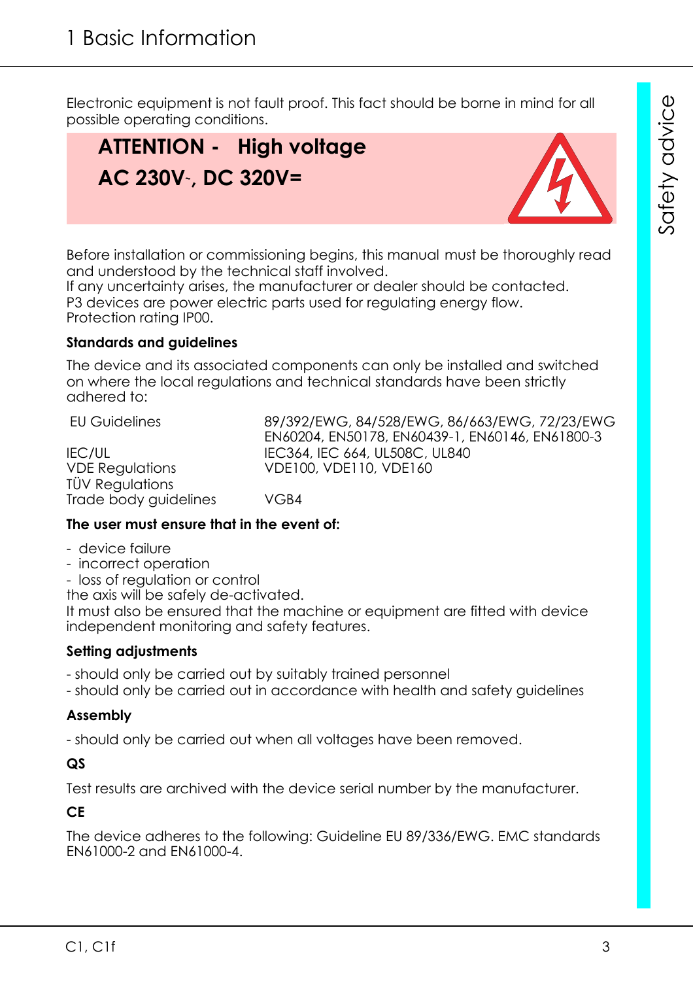Electronic equipment is not fault proof. This fact should be borne in mind for all possible operating conditions.

# **ATTENTION - High voltage AC 230V~, DC 320V=**



Before installation or commissioning begins, this manual must be thoroughly read and understood by the technical staff involved.

If any uncertainty arises, the manufacturer or dealer should be contacted. P3 devices are power electric parts used for regulating energy flow. Protection rating IP00.

# **Standards and guidelines**

The device and its associated components can only be installed and switched on where the local regulations and technical standards have been strictly adhered to:

EU Guidelines 89/392/EWG, 84/528/EWG, 86/663/EWG, 72/23/EWG EN60204, EN50178, EN60439-1, EN60146, EN61800-3 **IEC/UL IEC364, IEC 664, UL508C, UL840** VDE Regulations VDE100, VDE110, VDE160 TÜV Regulations Trade body guidelines VGB4

# **The user must ensure that in the event of:**

- device failure
- incorrect operation
- loss of regulation or control

the axis will be safely de-activated.

It must also be ensured that the machine or equipment are fitted with device independent monitoring and safety features.

# **Setting adjustments**

- should only be carried out by suitably trained personnel

- should only be carried out in accordance with health and safety guidelines

# **Assembly**

- should only be carried out when all voltages have been removed.

# **QS**

Test results are archived with the device serial number by the manufacturer.

**CE**

The device adheres to the following: Guideline EU 89/336/EWG. EMC standards EN61000-2 and EN61000-4.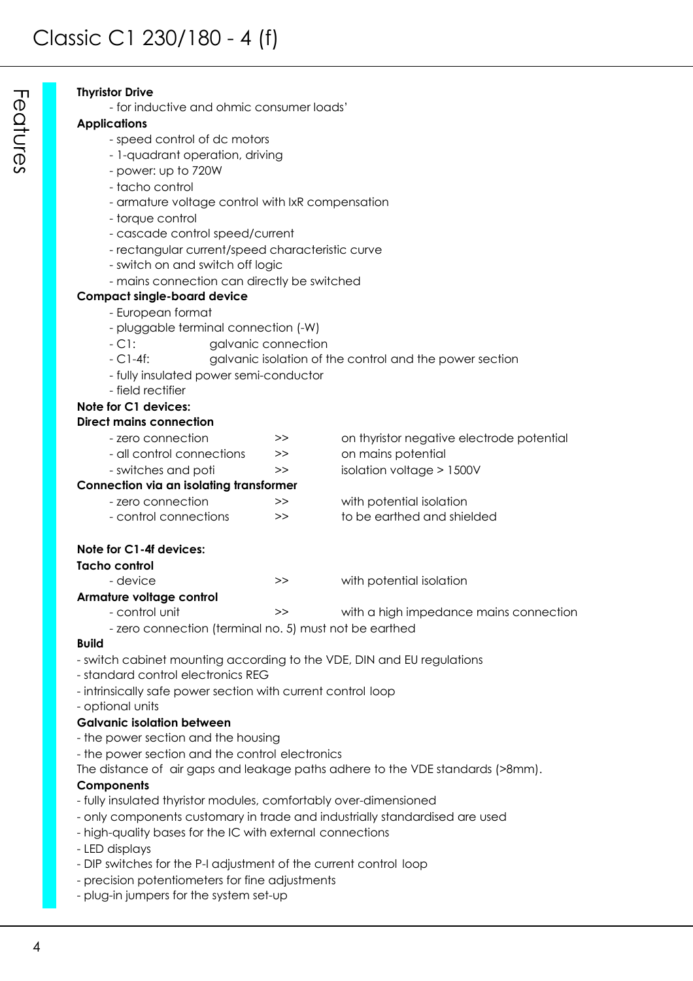#### **Thyristor Drive**

- for inductive and ohmic consumer loads'

#### **Applications**

- speed control of dc motors
- 1-quadrant operation, driving
- power: up to 720W
- tacho control
- armature voltage control with IxR compensation
- torque control
- cascade control speed/current
- rectangular current/speed characteristic curve
- switch on and switch off logic
- mains connection can directly be switched

#### **Compact single-board device**

- European format
- pluggable terminal connection (-W)
- C1: galvanic connection
- C1-4f: galvanic isolation of the control and the power section
- fully insulated power semi-conductor
- field rectifier

#### **Note for C1 devices: Direct mains con**

| ect mains connection      |       |                                           |
|---------------------------|-------|-------------------------------------------|
| - zero connection         | >>    | on thyristor negative electrode potential |
| - all control connections | $\gg$ | on mains potential                        |
| - switches and poti       | >>    | isolation voltage $> 1500V$               |

#### **Connection via an isolating transformer**

| - zero connection     | >  | with potential isolation   |
|-----------------------|----|----------------------------|
| - control connections | >> | to be earthed and shielded |

#### **Note for C1-4f devices:**

#### **Tacho control**

- device  $\rightarrow$  >> with potential isolation **Armature voltage control**
	- control unit  $\rightarrow$  >> with a high impedance mains connection
	- zero connection (terminal no. 5) must not be earthed

#### **Build**

- switch cabinet mounting according to the VDE, DIN and EU regulations
- standard control electronics REG
- intrinsically safe power section with current control loop
- optional units

#### **Galvanic isolation between**

- the power section and the housing
- the power section and the control electronics
- The distance of air gaps and leakage paths adhere to the VDE standards (>8mm).

#### **Components**

- fully insulated thyristor modules, comfortably over-dimensioned
- only components customary in trade and industrially standardised are used
- high-quality bases for the IC with external connections
- LED displays
- DIP switches for the P-I adjustment of the current control loop
- precision potentiometers for fine adjustments
- plug-in jumpers for the system set-up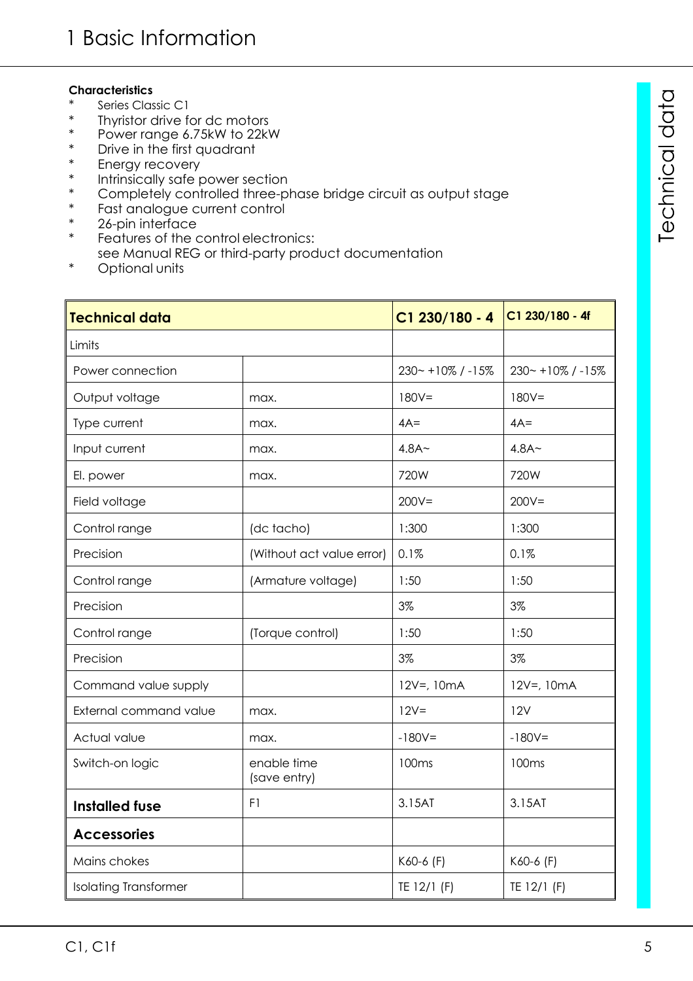#### **Characteristics**

- Series Classic C1
- \* Thyristor drive for dc motors<br>\* Power range 6.75kW to 22kV
- \* Power range 6.75kW to 22kW
- \* Drive in the first quadrant
- \* Energy recovery<br>\* Intrinsically safe r
- \* Intrinsically safe power section
- \* Completely controlled three-phase bridge circuit as output stage
- \* Fast analogue current control<br>\* 26-pin interface
- \* 26-pin interface<br>\* Features of the
- Features of the control electronics: see Manual REG or third-party product documentation
- \* Optional units

| <b>Technical data</b>        |                             | $C1$ 230/180 - 4     | C1 230/180 - 4f      |
|------------------------------|-----------------------------|----------------------|----------------------|
| Limits                       |                             |                      |                      |
| Power connection             |                             | $230 - +10\%$ / -15% | $230 - +10\%$ / -15% |
| Output voltage               | max.                        | $180V =$             | $180V =$             |
| Type current                 | max.                        | $4A=$                | $4A=$                |
| Input current                | max.                        | 4.8A <sub>~</sub>    | 4.8A <sub>~</sub>    |
| El. power                    | max.                        | 720W                 | 720W                 |
| Field voltage                |                             | $200V =$             | $200V =$             |
| Control range                | (dc tacho)                  | 1:300                | 1:300                |
| Precision                    | (Without act value error)   | 0.1%                 | 0.1%                 |
| Control range                | (Armature voltage)          | 1:50                 | 1:50                 |
| Precision                    |                             | 3%                   | 3%                   |
| Control range                | (Torque control)            | 1:50                 | 1:50                 |
| Precision                    |                             | 3%                   | 3%                   |
| Command value supply         |                             | 12V=, 10mA           | $12V = 10mA$         |
| External command value       | max.                        | $12V =$              | 12V                  |
| Actual value                 | max.                        | $-180V =$            | $-180V =$            |
| Switch-on logic              | enable time<br>(save entry) | 100 <sub>ms</sub>    | 100 <sub>ms</sub>    |
| <b>Installed fuse</b>        | F1                          | 3.15AT               | 3.15AT               |
| <b>Accessories</b>           |                             |                      |                      |
| Mains chokes                 |                             | K60-6 (F)            | K60-6 (F)            |
| <b>Isolating Transformer</b> |                             | TE 12/1 (F)          | TE 12/1 (F)          |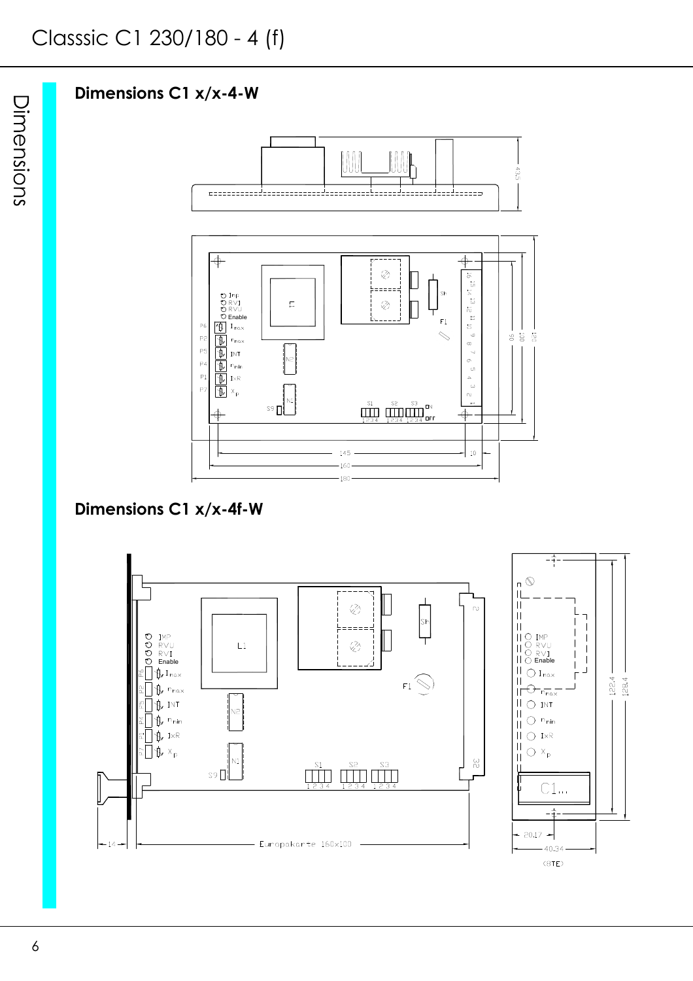# **Dimensions C1 x/x-4-W**



# **Dimensions C1 x/x-4f-W**

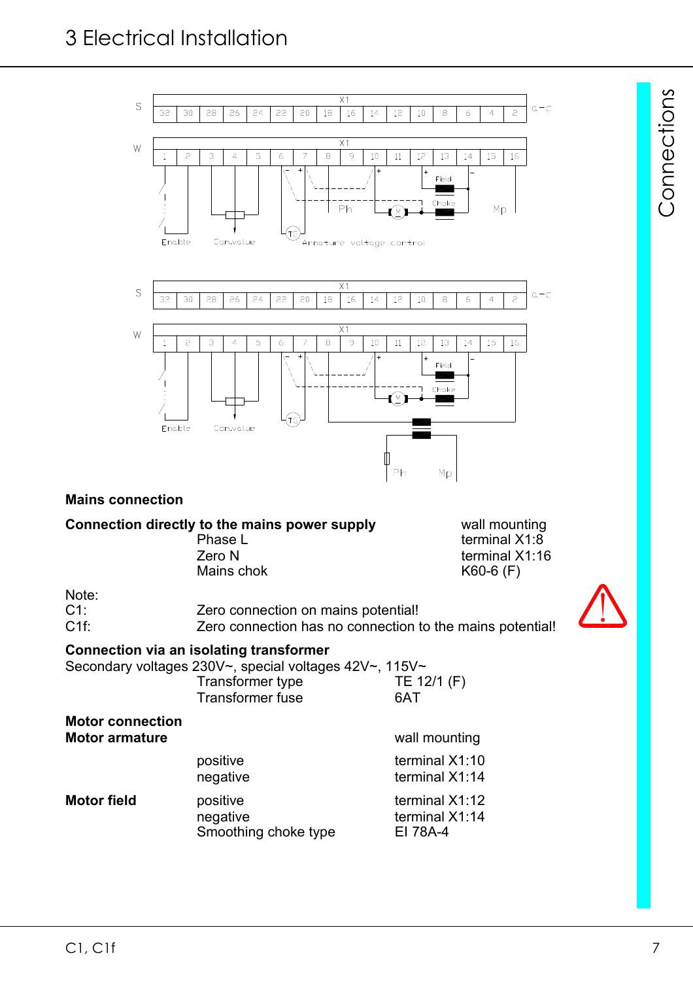

Mains chok K60-6 (F)

terminal X1:16

Note:<br>C1:

Zero connection on mains potential! C1f: Zero connection has no connection to the mains potential!



Connections

### **Connection via an isolating transformer**

Secondary voltages 230V~, special voltages 42V~, 115V~

| Transformer type | TE 12/1 (F) |
|------------------|-------------|
| Transformer fuse | 6AT         |

| <b>Motor connection</b><br><b>Motor armature</b> |                                              | wall mounting                                |
|--------------------------------------------------|----------------------------------------------|----------------------------------------------|
|                                                  | positive<br>negative                         | terminal X1:10<br>terminal X1:14             |
| <b>Motor field</b>                               | positive<br>negative<br>Smoothing choke type | terminal X1:12<br>terminal X1:14<br>EI 78A-4 |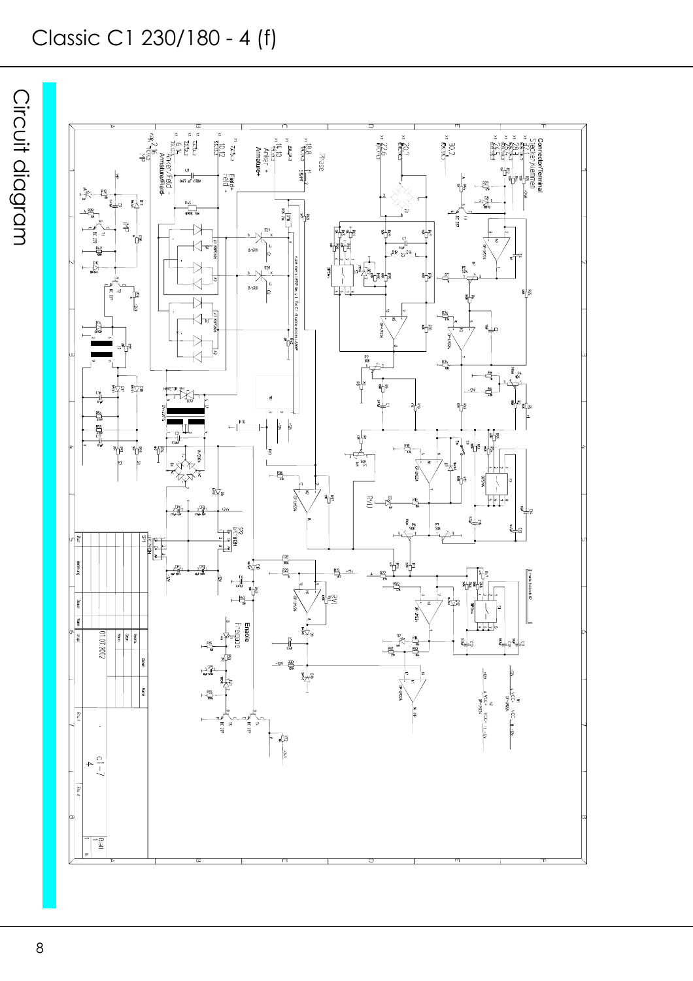# Classic C1 230/180 - 4 (f)

Circuit diagram

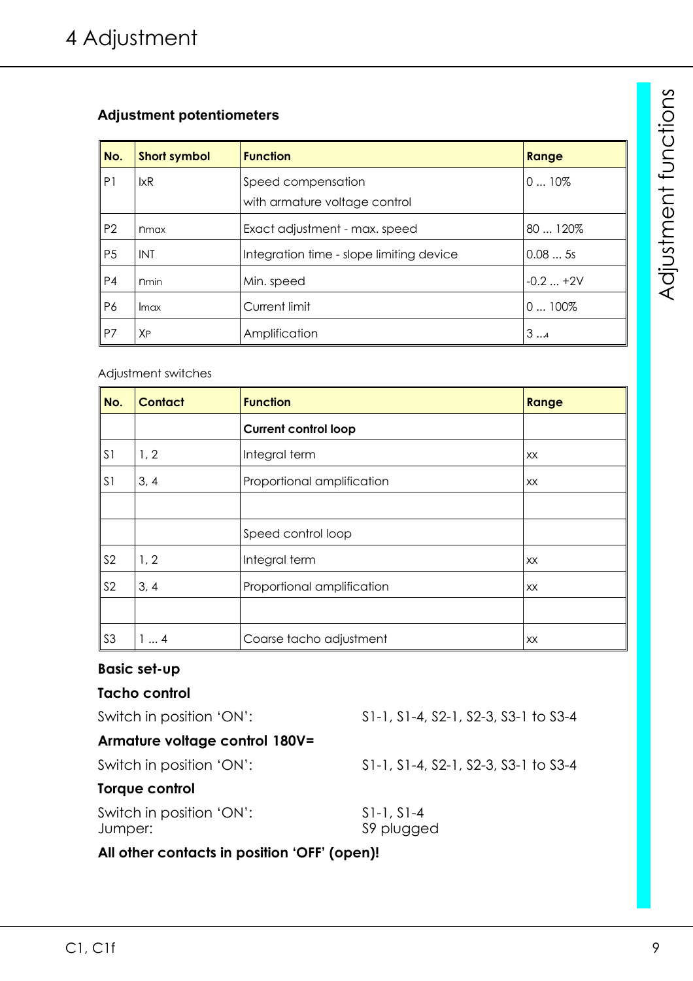# **Adjustment potentiometers**

| No.            | <b>Short symbol</b> | <b>Function</b>                                     | Range     |
|----------------|---------------------|-----------------------------------------------------|-----------|
| P <sub>1</sub> | lxR                 | Speed compensation<br>with armature voltage control | $010\%$   |
| P <sub>2</sub> | n <sub>max</sub>    | Exact adjustment - max. speed                       | 80  120%  |
| P <sub>5</sub> | <b>INT</b>          | Integration time - slope limiting device            | 0.085s    |
| P <sub>4</sub> | <b>n</b> min        | Min. speed                                          | $-0.2+2V$ |
| P6             | Imax                | Current limit                                       | $0100\%$  |
| P7             | XP                  | Amplification                                       | 34        |

#### Adjustment switches

| No.            | <b>Contact</b> | <b>Function</b>             | Range     |
|----------------|----------------|-----------------------------|-----------|
|                |                | <b>Current control loop</b> |           |
| S <sub>1</sub> | 1, 2           | Integral term               | <b>XX</b> |
| S <sub>1</sub> | 3, 4           | Proportional amplification  | XX        |
|                |                |                             |           |
|                |                | Speed control loop          |           |
| S <sub>2</sub> | 1, 2           | Integral term               | XX        |
| S <sub>2</sub> | 3, 4           | Proportional amplification  | XX        |
|                |                |                             |           |
| S <sub>3</sub> | 14             | Coarse tacho adjustment     | <b>XX</b> |

### **Basic set-up**

# **Tacho control**

Switch in position 'ON': S1-1, S1-4, S2-1, S2-3, S3-1 to S3-4

# **Armature voltage control 180V=**

Switch in position 'ON': S1-1, S1-4, S2-1, S2-3, S3-1 to S3-4

# **Torque control**

Switch in position 'ON': S1-1, S1-4 Jumper: S9 plugged

# **All other contacts in position 'OFF' (open)!**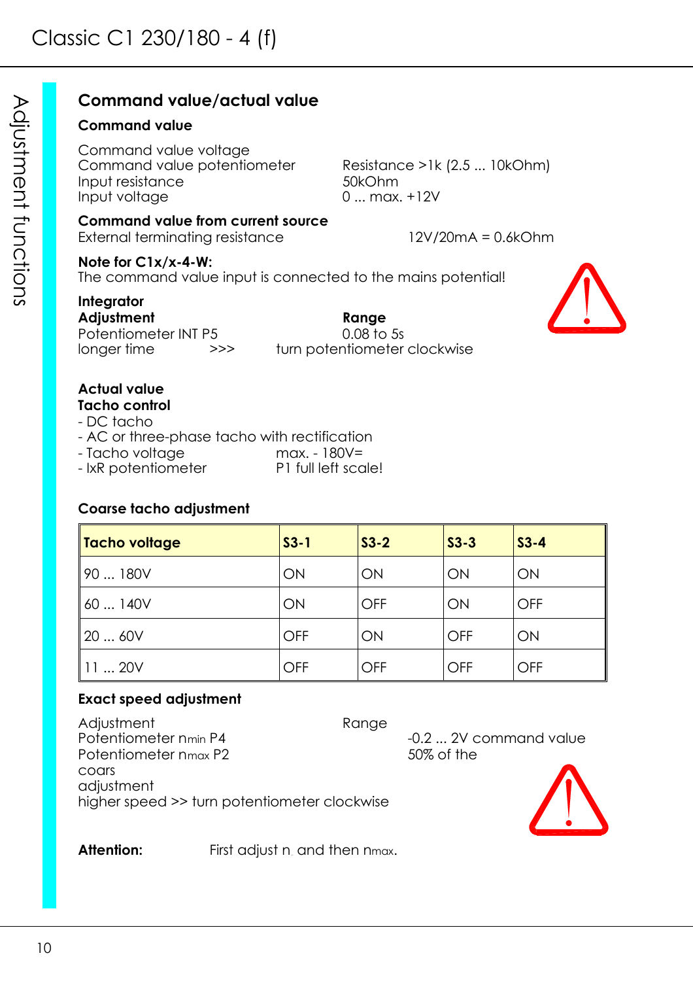# **Command value/actual value**

### **Command value**

Command value voltage Command value potentiometer Resistance >1k (2.5 ... 10kOhm) Input resistance 50kOhm Input voltage 0 ... max. +12V

# **Command value from current source**

External terminating resistance 12V/20mA = 0.6kOhm

### **Note for C1x/x-4-W:**

The command value input is connected to the mains potential!

# **Integrator**

**Adjustment Range** Potentiometer INT P5 0.08 to 5s longer time >>> turn potentiometer clockwise



# **Actual value**

- **Tacho control**
- DC tacho
- AC or three-phase tacho with rectification
- Tacho voltage max. 180V=
- IxR potentiometer P1 full left scale!

# **Coarse tacho adjustment**

| Tacho voltage | $S3-1$     | $S3-2$     | $S3-3$     | $S3-4$     |
|---------------|------------|------------|------------|------------|
| 90180V        | ON         | ON         | ON         | ON         |
| 60140V        | ON         | <b>OFF</b> | ON         | <b>OFF</b> |
| 20  60V       | <b>OFF</b> | ON         | <b>OFF</b> | ON         |
| 11  20V       | <b>OFF</b> | OFF        | <b>OFF</b> | OFF        |

# **Exact speed adjustment**

Adjustment<br>Potentiometer n<sub>min</sub> P4 Potentiometer nmax P2 50% of the coars adjustment higher speed >> turn potentiometer clockwise

-0.2 ... 2V command value



**Attention:** First adjust n and then nmax.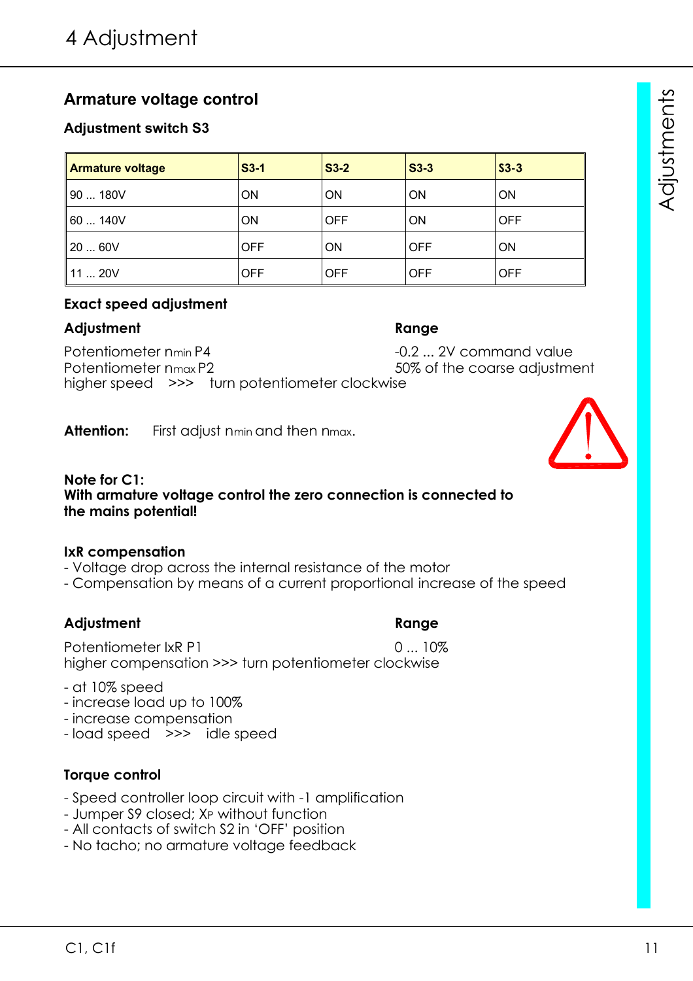# **Armature voltage control**

# **Adjustment switch S3**

| <b>Armature voltage</b> | $S3-1$     | $S3-2$     | $S3-3$     | $S3-3$     |
|-------------------------|------------|------------|------------|------------|
| 90  180V                | ON         | ON         | <b>ON</b>  | <b>ON</b>  |
| 60140V                  | ON         | <b>OFF</b> | <b>ON</b>  | <b>OFF</b> |
| 2060V                   | <b>OFF</b> | <b>ON</b>  | <b>OFF</b> | <b>ON</b>  |
| 1120V                   | <b>OFF</b> | <b>OFF</b> | <b>OFF</b> | <b>OFF</b> |

### **Exact speed adjustment**

# **Adjustment Range**

Potentiometer nmin P4  $-0.2$  ... 2V command value Potentiometer nmax P2 60 and 50% of the coarse adjustment higher speed >>> turn potentiometer clockwise

Attention: First adjust nmin and then nmax.

#### **Note for C1: With armature voltage control the zero connection is connected to the mains potential!**

### **IxR compensation**

- Voltage drop across the internal resistance of the motor
- Compensation by means of a current proportional increase of the speed

# **Adjustment Range**

# - at 10% speed

- increase load up to 100%
- increase compensation
- load speed >>> idle speed

# **Torque control**

- Speed controller loop circuit with -1 amplification
- Jumper S9 closed; XP without function
- All contacts of switch S2 in 'OFF' position
- No tacho; no armature voltage feedback



Potentiometer IxR P1 0 ... 10% higher compensation >>> turn potentiometer clockwise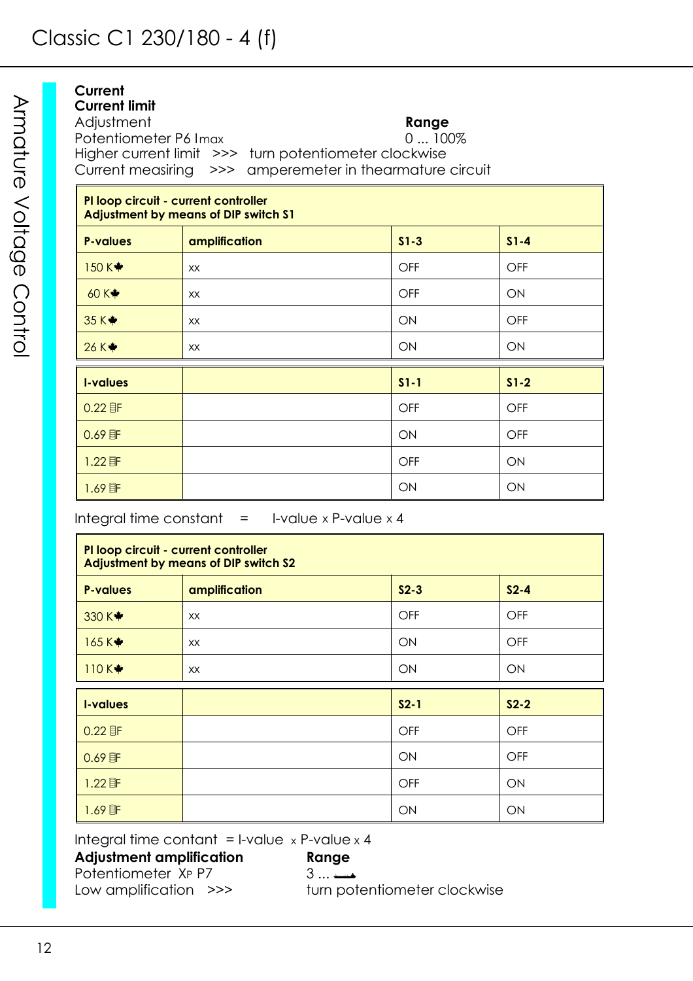| Current<br>Current limit<br>Adjustment<br>Potentiometer P6 Imax | Higher current limit >>> turn potentiometer clockwise<br>Current measiring >>> amperemeter in thearmature circuit | Range<br>$0100\%$ |            |
|-----------------------------------------------------------------|-------------------------------------------------------------------------------------------------------------------|-------------------|------------|
| PI loop circuit - current controller                            | <b>Adjustment by means of DIP switch S1</b>                                                                       |                   |            |
| <b>P-values</b>                                                 | amplification                                                                                                     | $S1-3$            | $S1 - 4$   |
| 150 $K$ $*$                                                     | XX.                                                                                                               | <b>OFF</b>        | <b>OFF</b> |
| 60 $K$ $*$                                                      | XX                                                                                                                | OFF               | <b>ON</b>  |
| 35 K <sup>*</sup>                                               | <b>XX</b>                                                                                                         | ON                | OFF        |
| 26 K*                                                           | XX                                                                                                                | ON                | ON         |
| <b>I-values</b>                                                 |                                                                                                                   | $S1 - 1$          | $S1-2$     |
| 0.005                                                           |                                                                                                                   | $\cap$            | $\cap$     |

| 0.22 目F  | <b>OFF</b> | <b>OFF</b> |
|----------|------------|------------|
| $0.69$ 非 | ON         | <b>OFF</b> |
| $1.22$ 匪 | OFF        | ON         |
| $1.69$ 匪 | ON         | ON         |

Integral time constant  $=$  I-value x P-value x 4

**PI loop circuit - current controller Adjustment by means of DIP switch S2 P-values amplification S2-3 S2-4** 330 K xx OFF OFF 165 K♦ XX ON OFF 110 K✦ kx distandance de la contracte de la contracte de la contracte de la contracte de la contracte de la con **I-values S2-1 S2-2** 0.22 F OFF OFF 0.69F ON OFF 1.22F OFF ON 1.69F ON ON

Integral time contant = I-value  $x$  P-value  $x$  4

**Adjustment amplification Range** A Potentiometer XP P7 3 ...  $\longrightarrow$  1 Low amplification  $\ge$  >> turn po

turn potentiometer clockwise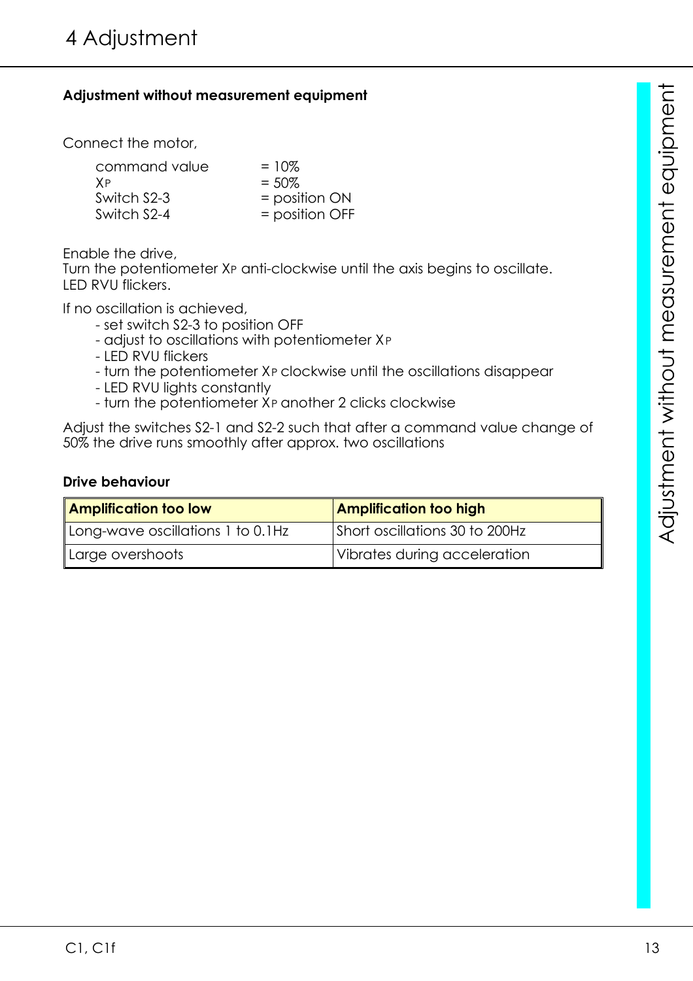# **Adjustment without measurement equipment**

Connect the motor,

| command value | $=10\%$           |
|---------------|-------------------|
| <b>XP</b>     | $= 50\%$          |
| Switch S2-3   | $=$ position $ON$ |
| Switch S2-4   | $=$ position OFF  |

Enable the drive,

Turn the potentiometer XP anti-clockwise until the axis begins to oscillate. LED RVU flickers.

If no oscillation is achieved,

- set switch S2-3 to position OFF
- adjust to oscillations with potentiometer XP
- LED RVU flickers
- turn the potentiometer XP clockwise until the oscillations disappear
- LED RVU lights constantly
- turn the potentiometer XP another 2 clicks clockwise

Adjust the switches S2-1 and S2-2 such that after a command value change of 50% the drive runs smoothly after approx. two oscillations

#### **Drive behaviour**

| <b>Amplification too low</b>      | <b>Amplification too high</b>  |
|-----------------------------------|--------------------------------|
| Long-wave oscillations 1 to 0.1Hz | Short oscillations 30 to 200Hz |
| Large overshoots                  | Vibrates during acceleration   |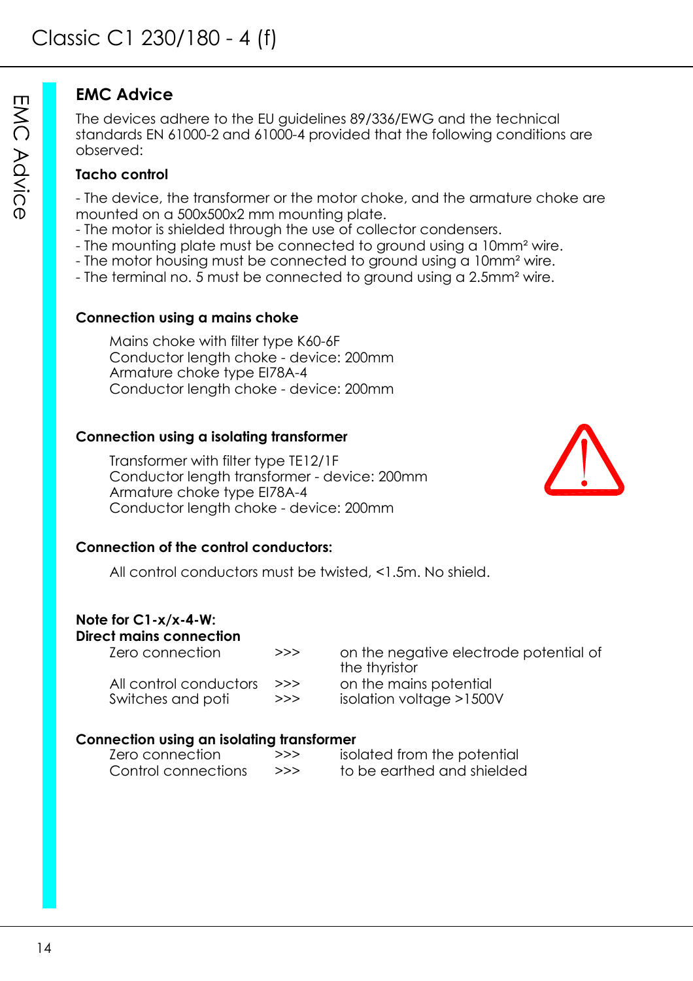# **EMC Advice**

The devices adhere to the EU guidelines 89/336/EWG and the technical standards EN 61000-2 and 61000-4 provided that the following conditions are observed:

# **Tacho control**

- The device, the transformer or the motor choke, and the armature choke are mounted on a 500x500x2 mm mounting plate.

- The motor is shielded through the use of collector condensers.
- The mounting plate must be connected to ground using a 10mm<sup>2</sup> wire.
- The motor housing must be connected to ground using a 10mm² wire.
- The terminal no. 5 must be connected to ground using a 2.5mm² wire.

### **Connection using a mains choke**

Mains choke with filter type K60-6F Conductor length choke - device: 200mm Armature choke type EI78A-4 Conductor length choke - device: 200mm

# **Connection using a isolating transformer**

Transformer with filter type TE12/1F Conductor length transformer - device: 200mm Armature choke type EI78A-4 Conductor length choke - device: 200mm



### **Connection of the control conductors:**

All control conductors must be twisted, <1.5m. No shield.

# **Note for C1-x/x-4-W:**

# **Direct mains connection**

All control conductors  $\Rightarrow$  on the mains potential Switches and poti >>> isolation voltage >1500V

Zero connection >>> on the negative electrode potential of the thyristor

### **Connection using an isolating transformer**

| Zero connection     | >>> | isolated from the potential |
|---------------------|-----|-----------------------------|
| Control connections | >>> | to be earthed and shielded  |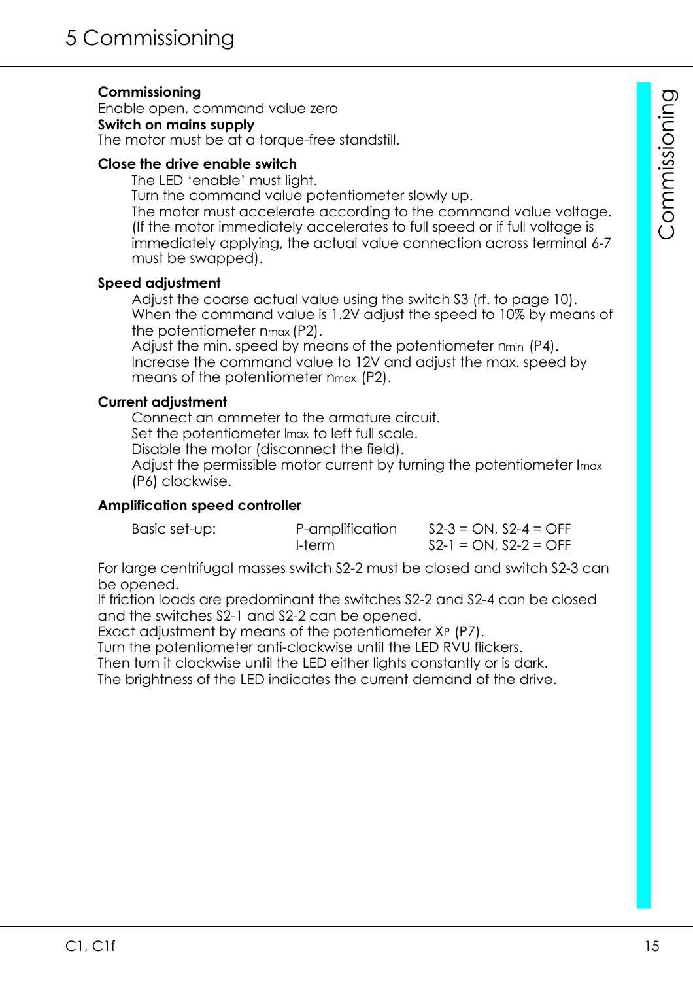# **Commissioning**

Enable open, command value zero **Switch on mains supply** The motor must be at a torque-free standstill.

#### **Close the drive enable switch**

The LED 'enable' must light.

Turn the command value potentiometer slowly up.

The motor must accelerate according to the command value voltage. (If the motor immediately accelerates to full speed or if full voltage is immediately applying, the actual value connection across terminal 6-7 must be swapped).

#### **Speed adjustment**

Adjust the coarse actual value using the switch S3 (rf. to page 10). When the command value is 1.2V adjust the speed to 10% by means of the potentiometer nmax (P2).

Adjust the min. speed by means of the potentiometer nmin (P4). Increase the command value to 12V and adjust the max. speed by means of the potentiometer nmax (P2).

#### **Current adjustment**

Connect an ammeter to the armature circuit. Set the potentiometer Imax to left full scale. Disable the motor (disconnect the field). Adjust the permissible motor current by turning the potentiometer Imax (P6) clockwise.

### **Amplification speed controller**

| Basic set-up: | P-amplification | $S2-3 = ON$ , $S2-4 = OFF$ |
|---------------|-----------------|----------------------------|
|               | I-term          | $S2-1 = ON, S2-2 = OFF$    |

For large centrifugal masses switch S2-2 must be closed and switch S2-3 can be opened.

If friction loads are predominant the switches S2-2 and S2-4 can be closed and the switches S2-1 and S2-2 can be opened.

Exact adjustment by means of the potentiometer XP (P7).

Turn the potentiometer anti-clockwise until the LED RVU flickers.

Then turn it clockwise until the LED either lights constantly or is dark.

The brightness of the LED indicates the current demand of the drive.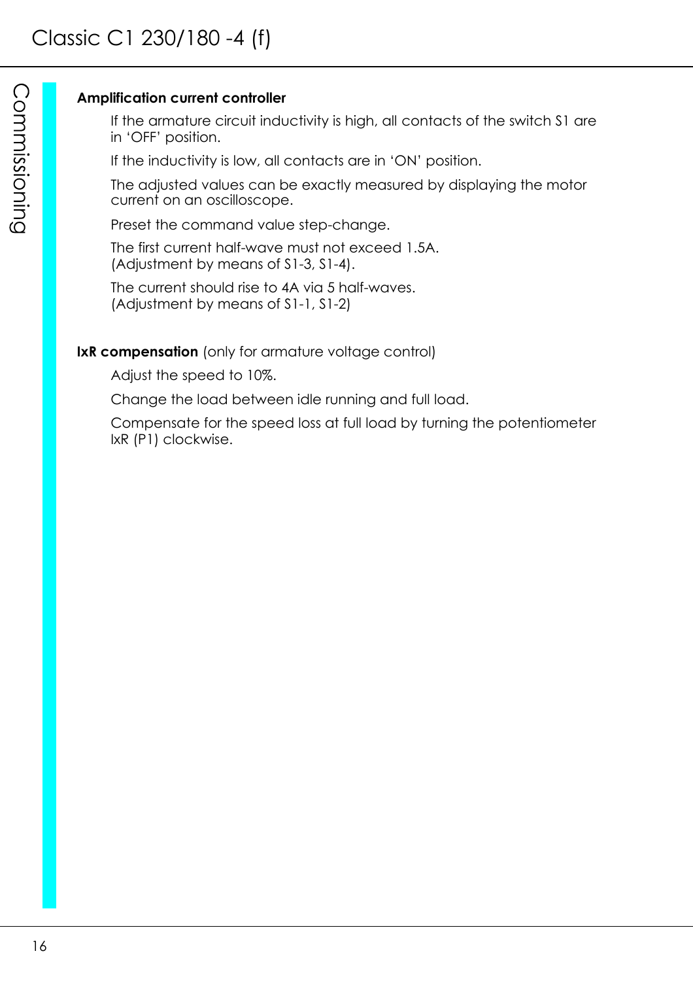### **Amplification current controller**

If the armature circuit inductivity is high, all contacts of the switch S1 are in 'OFF' position.

If the inductivity is low, all contacts are in 'ON' position.

The adjusted values can be exactly measured by displaying the motor current on an oscilloscope.

Preset the command value step-change.

The first current half-wave must not exceed 1.5A. (Adjustment by means of S1-3, S1-4).

The current should rise to 4A via 5 half-waves. (Adjustment by means of S1-1, S1-2)

# **IxR compensation** (only for armature voltage control)

Adjust the speed to 10%.

Change the load between idle running and full load.

Compensate for the speed loss at full load by turning the potentiometer IxR (P1) clockwise.